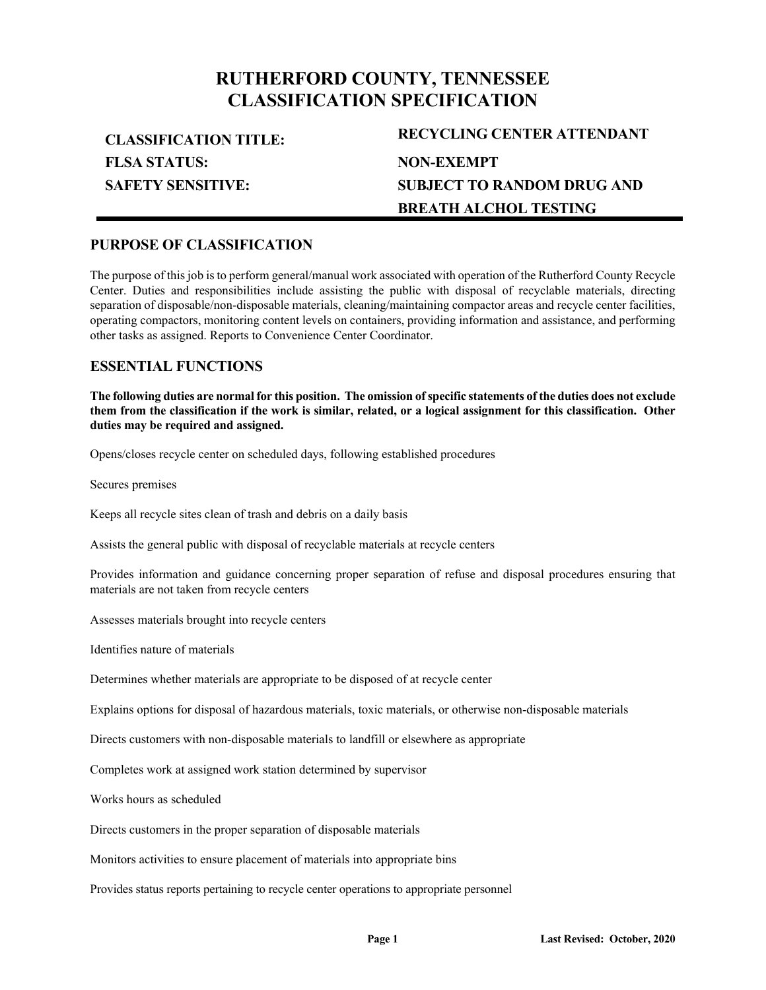## **RUTHERFORD COUNTY, TENNESSEE CLASSIFICATION SPECIFICATION**

**FLSA STATUS: SAFETY SENSITIVE:**

# **CLASSIFICATION TITLE: RECYCLING CENTER ATTENDANT NON-EXEMPT SUBJECT TO RANDOM DRUG AND BREATH ALCHOL TESTING**

## **PURPOSE OF CLASSIFICATION**

The purpose of this job is to perform general/manual work associated with operation of the Rutherford County Recycle Center. Duties and responsibilities include assisting the public with disposal of recyclable materials, directing separation of disposable/non-disposable materials, cleaning/maintaining compactor areas and recycle center facilities, operating compactors, monitoring content levels on containers, providing information and assistance, and performing other tasks as assigned. Reports to Convenience Center Coordinator.

## **ESSENTIAL FUNCTIONS**

**The following duties are normal for this position. The omission of specific statements of the duties does not exclude them from the classification if the work is similar, related, or a logical assignment for this classification. Other duties may be required and assigned.**

Opens/closes recycle center on scheduled days, following established procedures

Secures premises

Keeps all recycle sites clean of trash and debris on a daily basis

Assists the general public with disposal of recyclable materials at recycle centers

Provides information and guidance concerning proper separation of refuse and disposal procedures ensuring that materials are not taken from recycle centers

Assesses materials brought into recycle centers

Identifies nature of materials

Determines whether materials are appropriate to be disposed of at recycle center

Explains options for disposal of hazardous materials, toxic materials, or otherwise non-disposable materials

Directs customers with non-disposable materials to landfill or elsewhere as appropriate

Completes work at assigned work station determined by supervisor

Works hours as scheduled

Directs customers in the proper separation of disposable materials

Monitors activities to ensure placement of materials into appropriate bins

Provides status reports pertaining to recycle center operations to appropriate personnel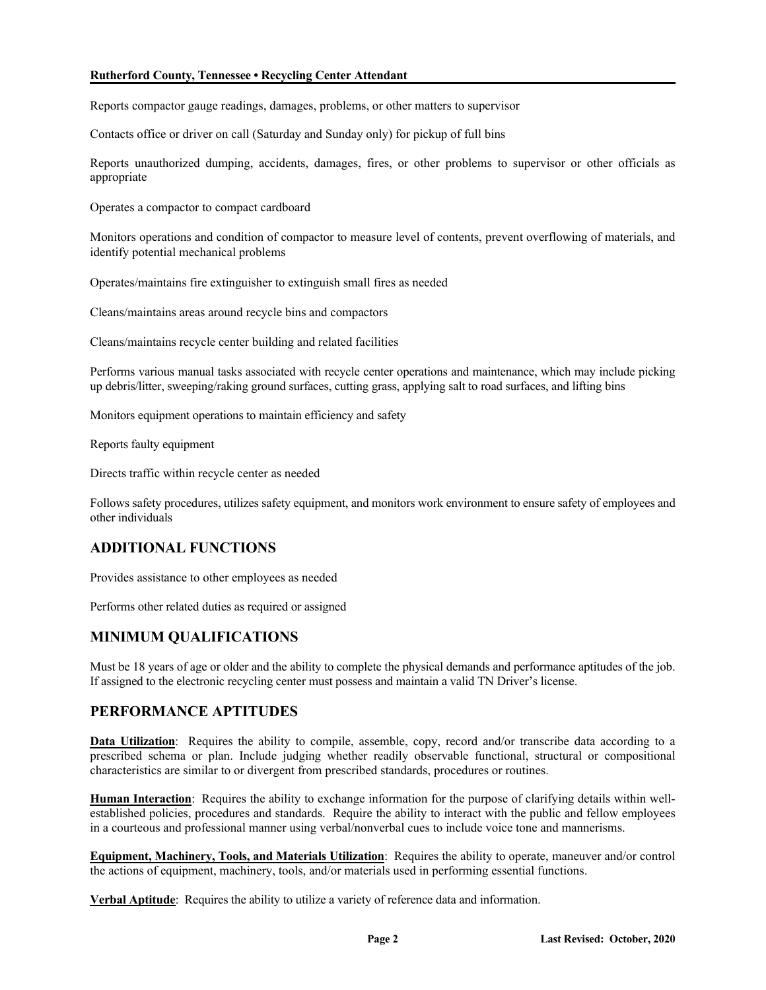### **Rutherford County, Tennessee • Recycling Center Attendant**

Reports compactor gauge readings, damages, problems, or other matters to supervisor

Contacts office or driver on call (Saturday and Sunday only) for pickup of full bins

Reports unauthorized dumping, accidents, damages, fires, or other problems to supervisor or other officials as appropriate

Operates a compactor to compact cardboard

Monitors operations and condition of compactor to measure level of contents, prevent overflowing of materials, and identify potential mechanical problems

Operates/maintains fire extinguisher to extinguish small fires as needed

Cleans/maintains areas around recycle bins and compactors

Cleans/maintains recycle center building and related facilities

Performs various manual tasks associated with recycle center operations and maintenance, which may include picking up debris/litter, sweeping/raking ground surfaces, cutting grass, applying salt to road surfaces, and lifting bins

Monitors equipment operations to maintain efficiency and safety

Reports faulty equipment

Directs traffic within recycle center as needed

Follows safety procedures, utilizes safety equipment, and monitors work environment to ensure safety of employees and other individuals

## **ADDITIONAL FUNCTIONS**

Provides assistance to other employees as needed

Performs other related duties as required or assigned

## **MINIMUM QUALIFICATIONS**

Must be 18 years of age or older and the ability to complete the physical demands and performance aptitudes of the job. If assigned to the electronic recycling center must possess and maintain a valid TN Driver's license.

## **PERFORMANCE APTITUDES**

**Data Utilization**: Requires the ability to compile, assemble, copy, record and/or transcribe data according to a prescribed schema or plan. Include judging whether readily observable functional, structural or compositional characteristics are similar to or divergent from prescribed standards, procedures or routines.

**Human Interaction**: Requires the ability to exchange information for the purpose of clarifying details within wellestablished policies, procedures and standards. Require the ability to interact with the public and fellow employees in a courteous and professional manner using verbal/nonverbal cues to include voice tone and mannerisms.

**Equipment, Machinery, Tools, and Materials Utilization**: Requires the ability to operate, maneuver and/or control the actions of equipment, machinery, tools, and/or materials used in performing essential functions.

**Verbal Aptitude**: Requires the ability to utilize a variety of reference data and information.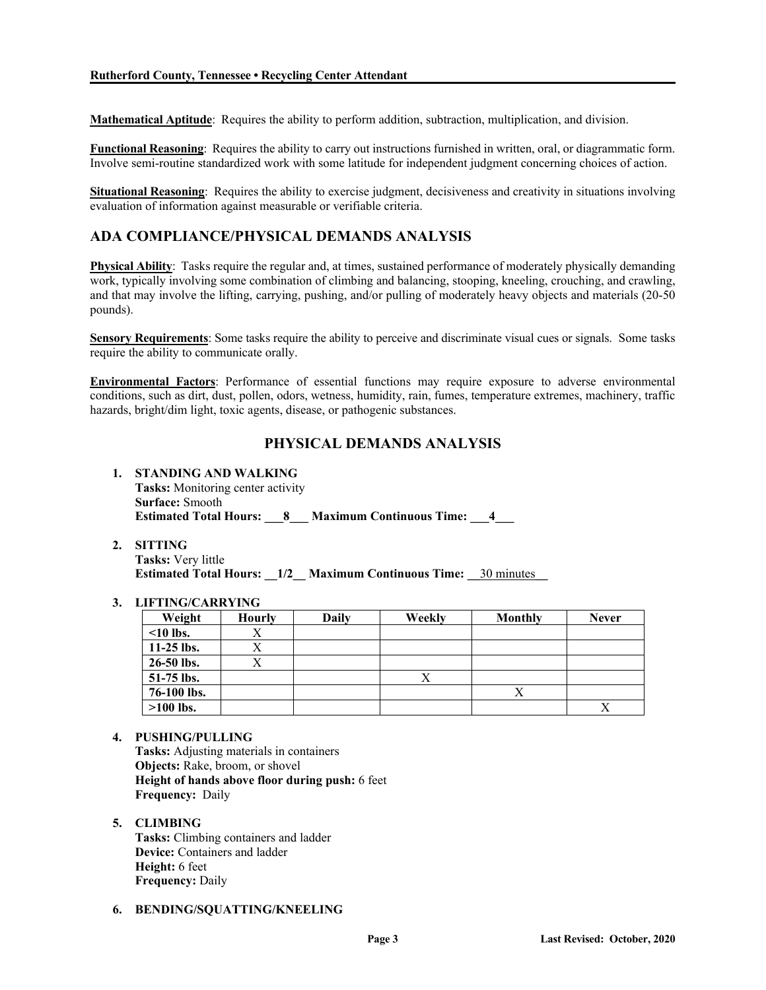**Mathematical Aptitude**: Requires the ability to perform addition, subtraction, multiplication, and division.

**Functional Reasoning**: Requires the ability to carry out instructions furnished in written, oral, or diagrammatic form. Involve semi-routine standardized work with some latitude for independent judgment concerning choices of action.

**Situational Reasoning**: Requires the ability to exercise judgment, decisiveness and creativity in situations involving evaluation of information against measurable or verifiable criteria.

## **ADA COMPLIANCE/PHYSICAL DEMANDS ANALYSIS**

**Physical Ability**: Tasks require the regular and, at times, sustained performance of moderately physically demanding work, typically involving some combination of climbing and balancing, stooping, kneeling, crouching, and crawling, and that may involve the lifting, carrying, pushing, and/or pulling of moderately heavy objects and materials (20-50 pounds).

**Sensory Requirements**: Some tasks require the ability to perceive and discriminate visual cues or signals. Some tasks require the ability to communicate orally.

**Environmental Factors**: Performance of essential functions may require exposure to adverse environmental conditions, such as dirt, dust, pollen, odors, wetness, humidity, rain, fumes, temperature extremes, machinery, traffic hazards, bright/dim light, toxic agents, disease, or pathogenic substances.

## **PHYSICAL DEMANDS ANALYSIS**

- **1. STANDING AND WALKING Tasks:** Monitoring center activity **Surface:** Smooth **Estimated Total Hours: 8 Maximum Continuous Time: 4**
- **2. SITTING**

**Tasks:** Very little **Estimated Total Hours:**  $1/2$  **Maximum Continuous Time: 30 minutes** 

### **3. LIFTING/CARRYING**

| Weight         | <b>Hourly</b> | Daily | Weekly | Monthly | <b>Never</b> |
|----------------|---------------|-------|--------|---------|--------------|
| $\leq 10$ lbs. |               |       |        |         |              |
| $11-25$ lbs.   | $\Lambda$     |       |        |         |              |
| 26-50 lbs.     |               |       |        |         |              |
| $51-75$ lbs.   |               |       | л      |         |              |
| 76-100 lbs.    |               |       |        | Х       |              |
| $>100$ lbs.    |               |       |        |         |              |

**4. PUSHING/PULLING Tasks:** Adjusting materials in containers **Objects:** Rake, broom, or shovel **Height of hands above floor during push:** 6 feet **Frequency:** Daily

#### **5. CLIMBING Tasks:** Climbing containers and ladder **Device:** Containers and ladder **Height:** 6 feet **Frequency:** Daily

#### **6. BENDING/SQUATTING/KNEELING**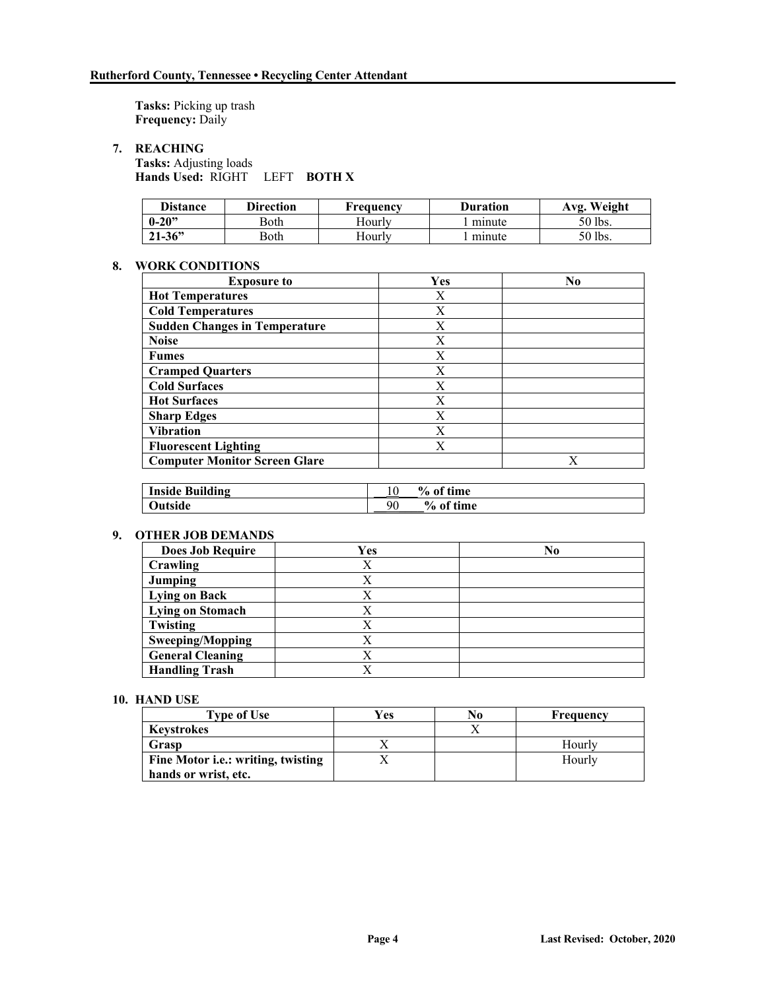**Tasks:** Picking up trash **Frequency:** Daily

**7. REACHING**

**Tasks:** Adjusting loads **Hands Used:** RIGHT LEFT **BOTH X**

| <b>Distance</b> | Direction | Frequency | <b>Duration</b> | Avg. Weight |
|-----------------|-----------|-----------|-----------------|-------------|
| $0 - 20$ "      | Both      | Hourlv    | minute          | 50 lbs.     |
| $21 - 36$       | Both      | Hourly    | minute          | 50 lbs.     |

### **8. WORK CONDITIONS**

| <b>Exposure to</b>                   | Yes | No |
|--------------------------------------|-----|----|
| <b>Hot Temperatures</b>              | X   |    |
| <b>Cold Temperatures</b>             | X   |    |
| <b>Sudden Changes in Temperature</b> | X   |    |
| <b>Noise</b>                         | X   |    |
| <b>Fumes</b>                         | X   |    |
| <b>Cramped Quarters</b>              | X   |    |
| <b>Cold Surfaces</b>                 | X   |    |
| <b>Hot Surfaces</b>                  | X   |    |
| <b>Sharp Edges</b>                   | X   |    |
| <b>Vibration</b>                     | X   |    |
| <b>Fluorescent Lighting</b>          | X   |    |
| <b>Computer Monitor Screen Glare</b> |     | X  |

| <b>Inside Building</b> |    | % of time   |
|------------------------|----|-------------|
| Outside                | 90 | $%$ of time |

### **9. OTHER JOB DEMANDS**

| <b>Does Job Require</b> | Yes | No |
|-------------------------|-----|----|
| Crawling                |     |    |
| Jumping                 |     |    |
| <b>Lying on Back</b>    |     |    |
| Lying on Stomach        |     |    |
| Twisting                |     |    |
| <b>Sweeping/Mopping</b> |     |    |
| <b>General Cleaning</b> |     |    |
| <b>Handling Trash</b>   |     |    |

#### **10. HAND USE**

| <b>Type of Use</b>                         | Yes | No | Frequency |
|--------------------------------------------|-----|----|-----------|
| <b>Keystrokes</b>                          |     |    |           |
| Grasp                                      |     |    | Hourly    |
| Fine Motor <i>i.e.</i> : writing, twisting |     |    | Hourly    |
| hands or wrist, etc.                       |     |    |           |